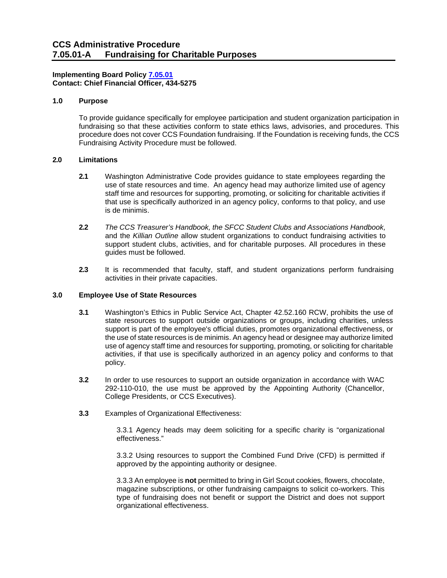# **Implementing Board Policy [7.05.01](https://ccs.spokane.edu/About-Us/Leadership/Board-of-Trustees/Policies-Procedures/Chapter7#AccWE2-1) Contact: Chief Financial Officer, 434-5275**

# **1.0 Purpose**

To provide guidance specifically for employee participation and student organization participation in fundraising so that these activities conform to state ethics laws, advisories, and procedures. This procedure does not cover CCS Foundation fundraising. If the Foundation is receiving funds, the CCS Fundraising Activity Procedure must be followed.

### **2.0 Limitations**

- **2.1** Washington Administrative Code provides guidance to state employees regarding the use of state resources and time. An agency head may authorize limited use of agency staff time and resources for supporting, promoting, or soliciting for charitable activities if that use is specifically authorized in an agency policy, conforms to that policy, and use is de minimis.
- **2.2** *The CCS Treasurer's Handbook, the SFCC Student Clubs and Associations Handbook,* and the *Killian Outline* allow student organizations to conduct fundraising activities to support student clubs, activities, and for charitable purposes. All procedures in these guides must be followed.
- **2.3** It is recommended that faculty, staff, and student organizations perform fundraising activities in their private capacities.

#### **3.0 Employee Use of State Resources**

- **3.1** Washington's Ethics in Public Service Act, Chapter 42.52.160 RCW, prohibits the use of state resources to support outside organizations or groups, including charities, unless support is part of the employee's official duties, promotes organizational effectiveness, or the use of state resources is de minimis. An agency head or designee may authorize limited use of agency staff time and resources for supporting, promoting, or soliciting for charitable activities, if that use is specifically authorized in an agency policy and conforms to that policy.
- **3.2** In order to use resources to support an outside organization in accordance with WAC 292-110-010, the use must be approved by the Appointing Authority (Chancellor, College Presidents, or CCS Executives).
- **3.3** Examples of Organizational Effectiveness:

3.3.1 Agency heads may deem soliciting for a specific charity is "organizational effectiveness."

3.3.2 Using resources to support the Combined Fund Drive (CFD) is permitted if approved by the appointing authority or designee.

3.3.3 An employee is **not** permitted to bring in Girl Scout cookies, flowers, chocolate, magazine subscriptions, or other fundraising campaigns to solicit co-workers. This type of fundraising does not benefit or support the District and does not support organizational effectiveness.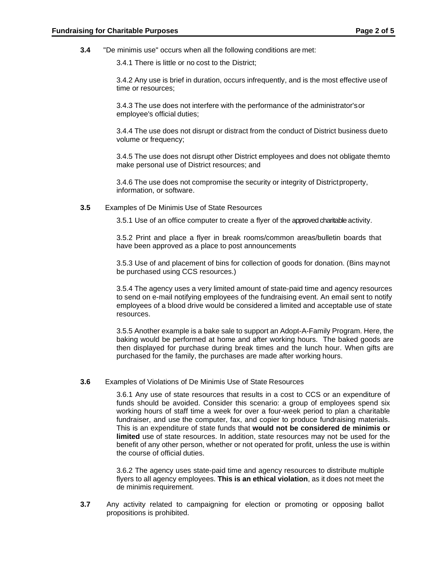**3.4** "De minimis use" occurs when all the following conditions are met:

3.4.1 There is little or no cost to the District;

3.4.2 Any use is brief in duration, occurs infrequently, and is the most effective useof time or resources;

3.4.3 The use does not interfere with the performance of the administrator'sor employee's official duties;

3.4.4 The use does not disrupt or distract from the conduct of District business dueto volume or frequency;

3.4.5 The use does not disrupt other District employees and does not obligate themto make personal use of District resources; and

3.4.6 The use does not compromise the security or integrity of Districtproperty, information, or software.

**3.5** Examples of De Minimis Use of State Resources

3.5.1 Use of an office computer to create a flyer of the approved charitable activity.

3.5.2 Print and place a flyer in break rooms/common areas/bulletin boards that have been approved as a place to post announcements

3.5.3 Use of and placement of bins for collection of goods for donation. (Bins maynot be purchased using CCS resources.)

3.5.4 The agency uses a very limited amount of state-paid time and agency resources to send on e-mail notifying employees of the fundraising event. An email sent to notify employees of a blood drive would be considered a limited and acceptable use of state resources.

3.5.5 Another example is a bake sale to support an Adopt-A-Family Program. Here, the baking would be performed at home and after working hours. The baked goods are then displayed for purchase during break times and the lunch hour. When gifts are purchased for the family, the purchases are made after working hours.

#### **3.6** Examples of Violations of De Minimis Use of State Resources

3.6.1 Any use of state resources that results in a cost to CCS or an expenditure of funds should be avoided. Consider this scenario: a group of employees spend six working hours of staff time a week for over a four-week period to plan a charitable fundraiser, and use the computer, fax, and copier to produce fundraising materials. This is an expenditure of state funds that **would not be considered de minimis or limited** use of state resources. In addition, state resources may not be used for the benefit of any other person, whether or not operated for profit, unless the use is within the course of official duties.

3.6.2 The agency uses state-paid time and agency resources to distribute multiple flyers to all agency employees. **This is an ethical violation**, as it does not meet the de minimis requirement.

**3.7** Any activity related to campaigning for election or promoting or opposing ballot propositions is prohibited.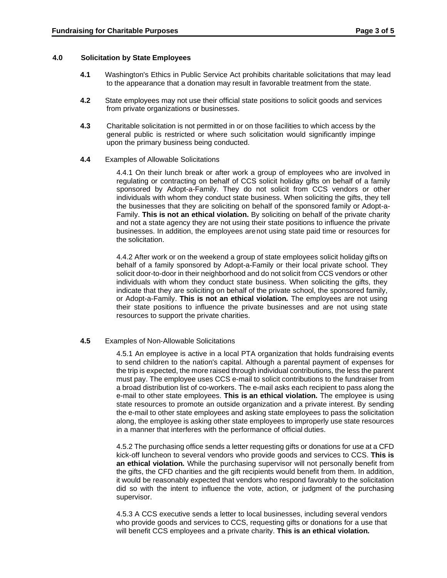### **4.0 Solicitation by State Employees**

- **4.1** Washington's Ethics in Public Service Act prohibits charitable solicitations that may lead to the appearance that a donation may result in favorable treatment from the state.
- **4.2** State employees may not use their official state positions to solicit goods and services from private organizations or businesses.
- **4.3** Charitable solicitation is not permitted in or on those facilities to which access by the general public is restricted or where such solicitation would significantly impinge upon the primary business being conducted.
- **4.4** Examples of Allowable Solicitations

4.4.1 On their lunch break or after work a group of employees who are involved in regulating or contracting on behalf of CCS solicit holiday gifts on behalf of a family sponsored by Adopt-a-Family. They do not solicit from CCS vendors or other individuals with whom they conduct state business. When soliciting the gifts, they tell the businesses that they are soliciting on behalf of the sponsored family or Adopt-a-Family. **This is not an ethical violation.** By soliciting on behalf of the private charity and not a state agency they are not using their state positions to influence the private businesses. In addition, the employees arenot using state paid time or resources for the solicitation.

4.4.2 After work or on the weekend a group of state employees solicit holiday gifts on behalf of a family sponsored by Adopt-a-Family or their local private school. They solicit door-to-door in their neighborhood and do not solicit from CCS vendors or other individuals with whom they conduct state business. When soliciting the gifts, they indicate that they are soliciting on behalf of the private school, the sponsored family, or Adopt-a-Family. **This is not an ethical violation***.* The employees are not using their state positions to influence the private businesses and are not using state resources to support the private charities.

## **4.5** Examples of Non-Allowable Solicitations

4.5.1 An employee is active in a local PTA organization that holds fundraising events to send children to the nation's capital. Although a parental payment of expenses for the trip is expected, the more raised through individual contributions, the less the parent must pay. The employee uses CCS e-mail to solicit contributions to the fundraiser from a broad distribution list of co-workers. The e-mail asks each recipient to pass along the e-mail to other state employees. **This is an ethical violation***.* The employee is using state resources to promote an outside organization and a private interest. By sending the e-mail to other state employees and asking state employees to pass the solicitation along, the employee is asking other state employees to improperly use state resources in a manner that interferes with the performance of official duties.

4.5.2 The purchasing office sends a letter requesting gifts or donations for use at a CFD kick-off luncheon to several vendors who provide goods and services to CCS. **This is an ethical violation***.* While the purchasing supervisor will not personally benefit from the gifts, the CFD charities and the gift recipients would benefit from them. In addition, it would be reasonably expected that vendors who respond favorably to the solicitation did so with the intent to influence the vote, action, or judgment of the purchasing supervisor.

4.5.3 A CCS executive sends a letter to local businesses, including several vendors who provide goods and services to CCS, requesting gifts or donations for a use that will benefit CCS employees and a private charity. **This is an ethical violation***.*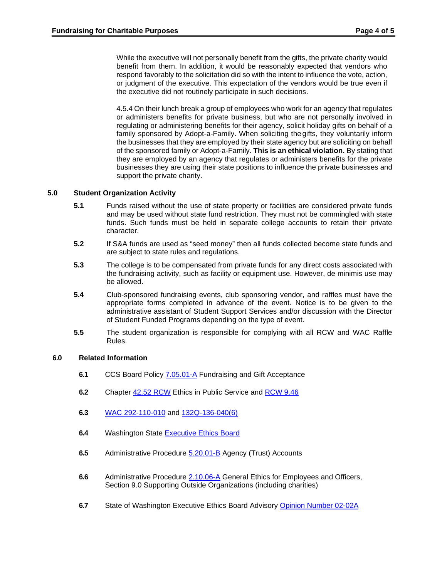While the executive will not personally benefit from the gifts, the private charity would benefit from them. In addition, it would be reasonably expected that vendors who respond favorably to the solicitation did so with the intent to influence the vote, action, or judgment of the executive. This expectation of the vendors would be true even if the executive did not routinely participate in such decisions.

4.5.4 On their lunch break a group of employees who work for an agency that regulates or administers benefits for private business, but who are not personally involved in regulating or administering benefits for their agency, solicit holiday gifts on behalf of a family sponsored by Adopt-a-Family. When soliciting the gifts, they voluntarily inform the businesses that they are employed by their state agency but are soliciting on behalf of the sponsored family or Adopt-a-Family. **This is an ethical violation.** By stating that they are employed by an agency that regulates or administers benefits for the private businesses they are using their state positions to influence the private businesses and support the private charity.

## **5.0 Student Organization Activity**

- **5.1** Funds raised without the use of state property or facilities are considered private funds and may be used without state fund restriction. They must not be commingled with state funds. Such funds must be held in separate college accounts to retain their private character.
- **5.2** If S&A funds are used as "seed money" then all funds collected become state funds and are subject to state rules and regulations.
- **5.3** The college is to be compensated from private funds for any direct costs associated with the fundraising activity, such as facility or equipment use. However, de minimis use may be allowed.
- **5.4** Club-sponsored fundraising events, club sponsoring vendor, and raffles must have the appropriate forms completed in advance of the event. Notice is to be given to the administrative assistant of Student Support Services and/or discussion with the Director of Student Funded Programs depending on the type of event.
- **5.5** The student organization is responsible for complying with all RCW and WAC Raffle Rules.

# **6.0 Related Information**

- **6.1** CCS Board Policy [7.05.01-A](https://ccs.spokane.edu/ccsglobal/media/Global/PDFs/District/Policies/CH7/7.05.01_FundRaising/7-05-01A_FundRaising.pdf) Fundraising and Gift Acceptance
- **6.2** Chapter [42.52](https://apps.leg.wa.gov/RCW/default.aspx?cite=42.52) RCW Ethics in Public Service and [RCW 9.46](https://app.leg.wa.gov/RCW/default.aspx?cite=9.46)
- **6.3** [WAC 292-110-010](https://apps.leg.wa.gov/WAC/default.aspx?cite=292-110-010) and [132Q-136-040\(6\)](https://app.leg.wa.gov/WAC/default.aspx?cite=132Q-136-040)
- **6.4** Washington State [Executive Ethics](https://ethics.wa.gov/) Board
- **6.5** Administrative Procedure [5.20.01-B](https://ccs.spokane.edu/ccsglobal/media/Global/PDFs/District/Policies/CH5/5.20.01_CashMgmt/5-20-01B_AgencyAccts.pdf) Agency (Trust) Accounts
- **6.6** Administrative Procedure [2.10.06-A](https://shared.spokane.edu/ccsglobal/media/Global/PDFs/District/Policies/CH2/2.10.06_GeneralEthicsForEmployeesOfficers/2-10-06A_GeneralEthicsForEmployeesOfficers.pdf) General Ethics for Employees and Officers, Section 9.0 Supporting Outside Organizations (including charities)
- **6.7** State of Washington Executive Ethics Board Advisory [Opinion Number 02-02A](https://ethics.wa.gov/sites/default/files/public/AO%2002-02A%20Revised%202017.pdf)